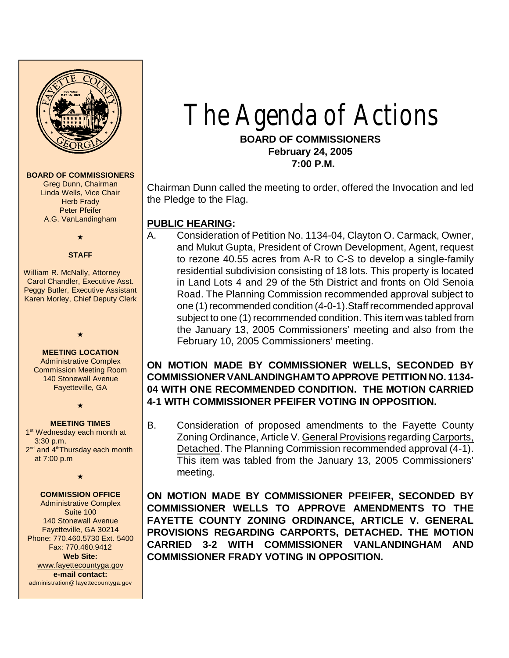

# The Agenda of Actions **BOARD OF COMMISSIONERS February 24, 2005**

 **7:00 P.M.**

Chairman Dunn called the meeting to order, offered the Invocation and led the Pledge to the Flag.

## **PUBLIC HEARING:**

A. Consideration of Petition No. 1134-04, Clayton O. Carmack, Owner, and Mukut Gupta, President of Crown Development, Agent, request to rezone 40.55 acres from A-R to C-S to develop a single-family residential subdivision consisting of 18 lots. This property is located in Land Lots 4 and 29 of the 5th District and fronts on Old Senoia Road. The Planning Commission recommended approval subject to one (1) recommended condition (4-0-1).Staff recommended approval subject to one (1) recommended condition. This item was tabled from the January 13, 2005 Commissioners' meeting and also from the February 10, 2005 Commissioners' meeting.

## **ON MOTION MADE BY COMMISSIONER WELLS, SECONDED BY COMMISSIONER VANLANDINGHAM TO APPROVE PETITION NO. 1134- 04 WITH ONE RECOMMENDED CONDITION. THE MOTION CARRIED 4-1 WITH COMMISSIONER PFEIFER VOTING IN OPPOSITION.**

B. Consideration of proposed amendments to the Fayette County Zoning Ordinance, Article V. General Provisions regarding Carports, Detached. The Planning Commission recommended approval (4-1). This item was tabled from the January 13, 2005 Commissioners' meeting.

**ON MOTION MADE BY COMMISSIONER PFEIFER, SECONDED BY COMMISSIONER WELLS TO APPROVE AMENDMENTS TO THE FAYETTE COUNTY ZONING ORDINANCE, ARTICLE V. GENERAL PROVISIONS REGARDING CARPORTS, DETACHED. THE MOTION CARRIED 3-2 WITH COMMISSIONER VANLANDINGHAM AND COMMISSIONER FRADY VOTING IN OPPOSITION.**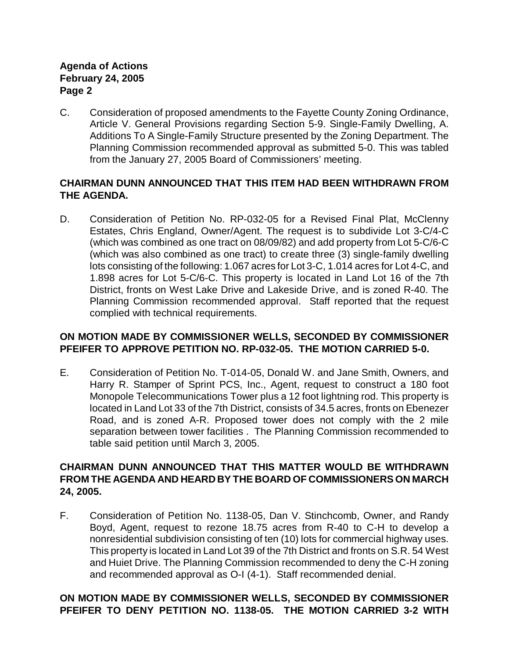C. Consideration of proposed amendments to the Fayette County Zoning Ordinance, Article V. General Provisions regarding Section 5-9. Single-Family Dwelling, A. Additions To A Single-Family Structure presented by the Zoning Department. The Planning Commission recommended approval as submitted 5-0. This was tabled from the January 27, 2005 Board of Commissioners' meeting.

## **CHAIRMAN DUNN ANNOUNCED THAT THIS ITEM HAD BEEN WITHDRAWN FROM THE AGENDA.**

D. Consideration of Petition No. RP-032-05 for a Revised Final Plat, McClenny Estates, Chris England, Owner/Agent. The request is to subdivide Lot 3-C/4-C (which was combined as one tract on 08/09/82) and add property from Lot 5-C/6-C (which was also combined as one tract) to create three (3) single-family dwelling lots consisting of the following: 1.067 acres for Lot 3-C, 1.014 acres for Lot 4-C, and 1.898 acres for Lot 5-C/6-C. This property is located in Land Lot 16 of the 7th District, fronts on West Lake Drive and Lakeside Drive, and is zoned R-40. The Planning Commission recommended approval. Staff reported that the request complied with technical requirements.

## **ON MOTION MADE BY COMMISSIONER WELLS, SECONDED BY COMMISSIONER PFEIFER TO APPROVE PETITION NO. RP-032-05. THE MOTION CARRIED 5-0.**

E. Consideration of Petition No. T-014-05, Donald W. and Jane Smith, Owners, and Harry R. Stamper of Sprint PCS, Inc., Agent, request to construct a 180 foot Monopole Telecommunications Tower plus a 12 foot lightning rod. This property is located in Land Lot 33 of the 7th District, consists of 34.5 acres, fronts on Ebenezer Road, and is zoned A-R. Proposed tower does not comply with the 2 mile separation between tower facilities . The Planning Commission recommended to table said petition until March 3, 2005.

## **CHAIRMAN DUNN ANNOUNCED THAT THIS MATTER WOULD BE WITHDRAWN FROM THE AGENDA AND HEARD BY THE BOARD OF COMMISSIONERS ON MARCH 24, 2005.**

F. Consideration of Petition No. 1138-05, Dan V. Stinchcomb, Owner, and Randy Boyd, Agent, request to rezone 18.75 acres from R-40 to C-H to develop a nonresidential subdivision consisting of ten (10) lots for commercial highway uses. This property is located in Land Lot 39 of the 7th District and fronts on S.R. 54 West and Huiet Drive. The Planning Commission recommended to deny the C-H zoning and recommended approval as O-I (4-1). Staff recommended denial.

## **ON MOTION MADE BY COMMISSIONER WELLS, SECONDED BY COMMISSIONER PFEIFER TO DENY PETITION NO. 1138-05. THE MOTION CARRIED 3-2 WITH**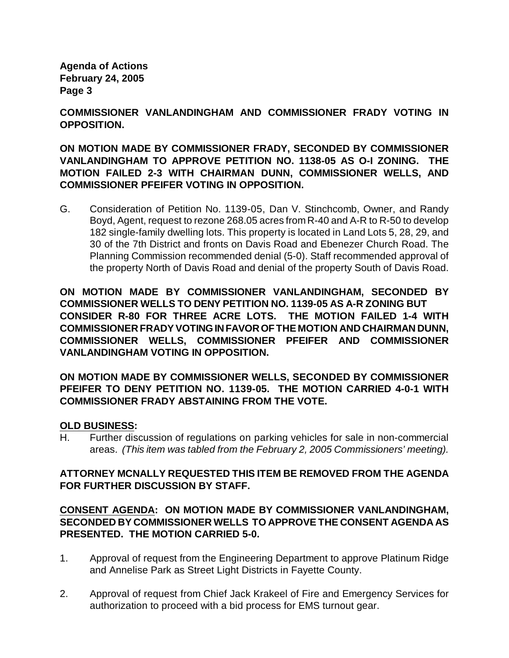**COMMISSIONER VANLANDINGHAM AND COMMISSIONER FRADY VOTING IN OPPOSITION.**

**ON MOTION MADE BY COMMISSIONER FRADY, SECONDED BY COMMISSIONER VANLANDINGHAM TO APPROVE PETITION NO. 1138-05 AS O-I ZONING. THE MOTION FAILED 2-3 WITH CHAIRMAN DUNN, COMMISSIONER WELLS, AND COMMISSIONER PFEIFER VOTING IN OPPOSITION.** 

G. Consideration of Petition No. 1139-05, Dan V. Stinchcomb, Owner, and Randy Boyd, Agent, request to rezone 268.05 acres from R-40 and A-R to R-50 to develop 182 single-family dwelling lots. This property is located in Land Lots 5, 28, 29, and 30 of the 7th District and fronts on Davis Road and Ebenezer Church Road. The Planning Commission recommended denial (5-0). Staff recommended approval of the property North of Davis Road and denial of the property South of Davis Road.

**ON MOTION MADE BY COMMISSIONER VANLANDINGHAM, SECONDED BY COMMISSIONER WELLS TO DENY PETITION NO. 1139-05 AS A-R ZONING BUT CONSIDER R-80 FOR THREE ACRE LOTS. THE MOTION FAILED 1-4 WITH COMMISSIONER FRADY VOTING IN FAVOR OF THE MOTION AND CHAIRMAN DUNN, COMMISSIONER WELLS, COMMISSIONER PFEIFER AND COMMISSIONER VANLANDINGHAM VOTING IN OPPOSITION.** 

**ON MOTION MADE BY COMMISSIONER WELLS, SECONDED BY COMMISSIONER PFEIFER TO DENY PETITION NO. 1139-05. THE MOTION CARRIED 4-0-1 WITH COMMISSIONER FRADY ABSTAINING FROM THE VOTE.** 

#### **OLD BUSINESS:**

H. Further discussion of regulations on parking vehicles for sale in non-commercial areas. *(This item was tabled from the February 2, 2005 Commissioners' meeting).*

## **ATTORNEY MCNALLY REQUESTED THIS ITEM BE REMOVED FROM THE AGENDA FOR FURTHER DISCUSSION BY STAFF.**

## **CONSENT AGENDA: ON MOTION MADE BY COMMISSIONER VANLANDINGHAM, SECONDED BY COMMISSIONER WELLS TO APPROVE THE CONSENT AGENDA AS PRESENTED. THE MOTION CARRIED 5-0.**

- 1. Approval of request from the Engineering Department to approve Platinum Ridge and Annelise Park as Street Light Districts in Fayette County.
- 2. Approval of request from Chief Jack Krakeel of Fire and Emergency Services for authorization to proceed with a bid process for EMS turnout gear.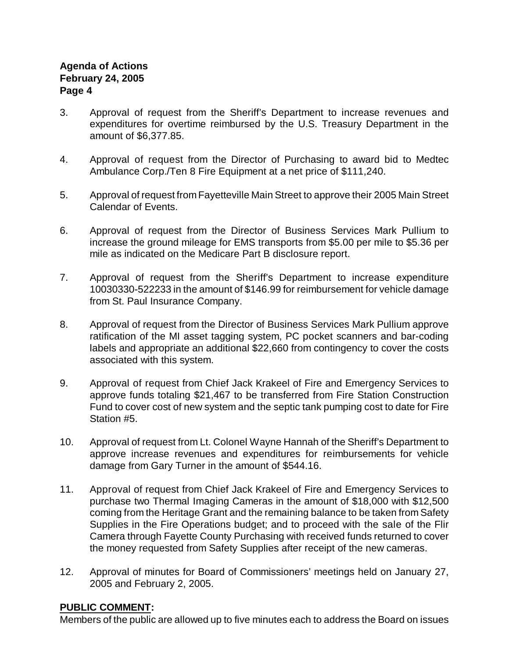- 3. Approval of request from the Sheriff's Department to increase revenues and expenditures for overtime reimbursed by the U.S. Treasury Department in the amount of \$6,377.85.
- 4. Approval of request from the Director of Purchasing to award bid to Medtec Ambulance Corp./Ten 8 Fire Equipment at a net price of \$111,240.
- 5. Approval of request from Fayetteville Main Street to approve their 2005 Main Street Calendar of Events.
- 6. Approval of request from the Director of Business Services Mark Pullium to increase the ground mileage for EMS transports from \$5.00 per mile to \$5.36 per mile as indicated on the Medicare Part B disclosure report.
- 7. Approval of request from the Sheriff's Department to increase expenditure 10030330-522233 in the amount of \$146.99 for reimbursement for vehicle damage from St. Paul Insurance Company.
- 8. Approval of request from the Director of Business Services Mark Pullium approve ratification of the MI asset tagging system, PC pocket scanners and bar-coding labels and appropriate an additional \$22,660 from contingency to cover the costs associated with this system.
- 9. Approval of request from Chief Jack Krakeel of Fire and Emergency Services to approve funds totaling \$21,467 to be transferred from Fire Station Construction Fund to cover cost of new system and the septic tank pumping cost to date for Fire Station #5.
- 10. Approval of request from Lt. Colonel Wayne Hannah of the Sheriff's Department to approve increase revenues and expenditures for reimbursements for vehicle damage from Gary Turner in the amount of \$544.16.
- 11. Approval of request from Chief Jack Krakeel of Fire and Emergency Services to purchase two Thermal Imaging Cameras in the amount of \$18,000 with \$12,500 coming from the Heritage Grant and the remaining balance to be taken from Safety Supplies in the Fire Operations budget; and to proceed with the sale of the Flir Camera through Fayette County Purchasing with received funds returned to cover the money requested from Safety Supplies after receipt of the new cameras.
- 12. Approval of minutes for Board of Commissioners' meetings held on January 27, 2005 and February 2, 2005.

## **PUBLIC COMMENT:**

Members of the public are allowed up to five minutes each to address the Board on issues